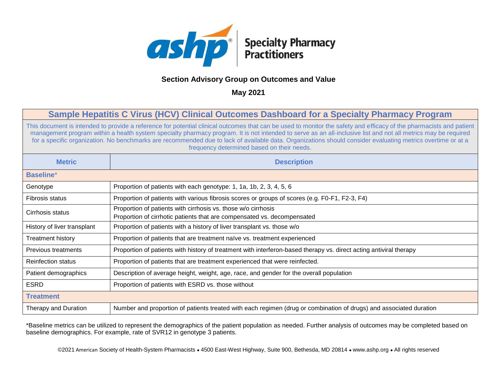

## **Section Advisory Group on Outcomes and Value**

**May 2021**

## **Sample Hepatitis C Virus (HCV) Clinical Outcomes Dashboard for a Specialty Pharmacy Program**

This document is intended to provide a reference for potential clinical outcomes that can be used to monitor the safety and efficacy of the pharmacists and patient management program within a health system specialty pharmacy program. It is not intended to serve as an all-inclusive list and not all metrics may be required for a specific organization. No benchmarks are recommended due to lack of available data. Organizations should consider evaluating metrics overtime or at a frequency determined based on their needs.

| <b>Metric</b>               | <b>Description</b>                                                                                                                       |  |
|-----------------------------|------------------------------------------------------------------------------------------------------------------------------------------|--|
| <b>Baseline*</b>            |                                                                                                                                          |  |
| Genotype                    | Proportion of patients with each genotype: 1, 1a, 1b, 2, 3, 4, 5, 6                                                                      |  |
| Fibrosis status             | Proportion of patients with various fibrosis scores or groups of scores (e.g. F0-F1, F2-3, F4)                                           |  |
| Cirrhosis status            | Proportion of patients with cirrhosis vs. those w/o cirrhosis<br>Proportion of cirrhotic patients that are compensated vs. decompensated |  |
| History of liver transplant | Proportion of patients with a history of liver transplant vs. those w/o                                                                  |  |
| <b>Treatment history</b>    | Proportion of patients that are treatment naïve vs. treatment experienced                                                                |  |
| <b>Previous treatments</b>  | Proportion of patients with history of treatment with interferon-based therapy vs. direct acting antiviral therapy                       |  |
| <b>Reinfection status</b>   | Proportion of patients that are treatment experienced that were reinfected.                                                              |  |
| Patient demographics        | Description of average height, weight, age, race, and gender for the overall population                                                  |  |
| <b>ESRD</b>                 | Proportion of patients with ESRD vs. those without                                                                                       |  |
| <b>Treatment</b>            |                                                                                                                                          |  |
| Therapy and Duration        | Number and proportion of patients treated with each regimen (drug or combination of drugs) and associated duration                       |  |

\*Baseline metrics can be utilized to represent the demographics of the patient population as needed. Further analysis of outcomes may be completed based on baseline demographics. For example, rate of SVR12 in genotype 3 patients.

©2021 American Society of Health-System Pharmacists ● 4500 East-West Highway, Suite 900, Bethesda, MD 20814 ● www.ashp.org ● All rights reserved